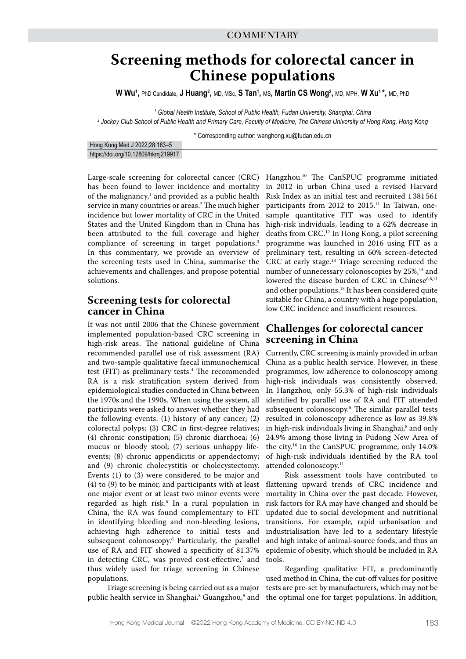# **Screening methods for colorectal cancer in Chinese populations**

 $W$  Wu<sup>1</sup>, PhD Candidate, **J Huang<sup>2</sup>,** MD, MSc, **S Tan<sup>1</sup>,** MS**, Martin CS Wong<sup>2</sup>,** MD, MPH, W **Xu<sup>1\*</sup>,** MD, PhD

<sup>1</sup> Global Health Institute, School of Public Health, Fudan University, Shanghai, China *2 Jockey Club School of Public Health and Primary Care, Faculty of Medicine, The Chinese University of Hong Kong, Hong Kong*

\* Corresponding author: wanghong.xu@fudan.edu.cn

| Hong Kong Med J 2022;28:183-5       |  |
|-------------------------------------|--|
| https://doi.org/10.12809/hkmj219917 |  |

Large-scale screening for colorectal cancer (CRC) has been found to lower incidence and mortality of the malignancy, $^1$  and provided as a public health service in many countries or areas.2 The much higher incidence but lower mortality of CRC in the United States and the United Kingdom than in China has been attributed to the full coverage and higher compliance of screening in target populations.<sup>3</sup> In this commentary, we provide an overview of the screening tests used in China, summarise the achievements and challenges, and propose potential solutions.

## **Screening tests for colorectal cancer in China**

It was not until 2006 that the Chinese government implemented population-based CRC screening in high-risk areas. The national guideline of China recommended parallel use of risk assessment (RA) and two-sample qualitative faecal immunochemical test (FIT) as preliminary tests.<sup>4</sup> The recommended RA is a risk stratification system derived from epidemiological studies conducted in China between the 1970s and the 1990s. When using the system, all participants were asked to answer whether they had the following events: (1) history of any cancer; (2) colorectal polyps; (3) CRC in first-degree relatives; (4) chronic constipation; (5) chronic diarrhoea; (6) mucus or bloody stool; (7) serious unhappy lifeevents; (8) chronic appendicitis or appendectomy; and (9) chronic cholecystitis or cholecystectomy. Events (1) to (3) were considered to be major and (4) to (9) to be minor, and participants with at least one major event or at least two minor events were regarded as high risk.5 In a rural population in China, the RA was found complementary to FIT in identifying bleeding and non-bleeding lesions, achieving high adherence to initial tests and subsequent colonoscopy.6 Particularly, the parallel use of RA and FIT showed a specificity of 81.37% in detecting CRC, was proved cost-effective,<sup>7</sup> and thus widely used for triage screening in Chinese populations.

Triage screening is being carried out as a major public health service in Shanghai, $^{\rm 8}$  Guangzhou, $^{\rm 9}$  and

Hangzhou.10 The CanSPUC programme initiated in 2012 in urban China used a revised Harvard Risk Index as an initial test and recruited 1 381 561 participants from 2012 to 2015.<sup>11</sup> In Taiwan, onesample quantitative FIT was used to identify high-risk individuals, leading to a 62% decrease in deaths from CRC.12 In Hong Kong, a pilot screening programme was launched in 2016 using FIT as a preliminary test, resulting in 60% screen-detected CRC at early stage.<sup>13</sup> Triage screening reduced the number of unnecessary colonoscopies by 25%,<sup>14</sup> and lowered the disease burden of CRC in Chinese<sup>6,8,11</sup> and other populations.<sup>15</sup> It has been considered quite suitable for China, a country with a huge population, low CRC incidence and insufficient resources.

## **Challenges for colorectal cancer screening in China**

Currently, CRC screening is mainly provided in urban China as a public health service. However, in these programmes, low adherence to colonoscopy among high-risk individuals was consistently observed. In Hangzhou, only 55.3% of high-risk individuals identified by parallel use of RA and FIT attended subsequent colonoscopy.5 The similar parallel tests resulted in colonoscopy adherence as low as 39.8% in high-risk individuals living in Shanghai,<sup>8</sup> and only 24.9% among those living in Pudong New Area of the city.16 In the CanSPUC programme, only 14.0% of high-risk individuals identified by the RA tool attended colonoscopy.<sup>11</sup>

Risk assessment tools have contributed to flattening upward trends of CRC incidence and mortality in China over the past decade. However, risk factors for RA may have changed and should be updated due to social development and nutritional transitions. For example, rapid urbanisation and industrialisation have led to a sedentary lifestyle and high intake of animal-source foods, and thus an epidemic of obesity, which should be included in RA tools.

Regarding qualitative FIT, a predominantly used method in China, the cut-off values for positive tests are pre-set by manufacturers, which may not be the optimal one for target populations. In addition,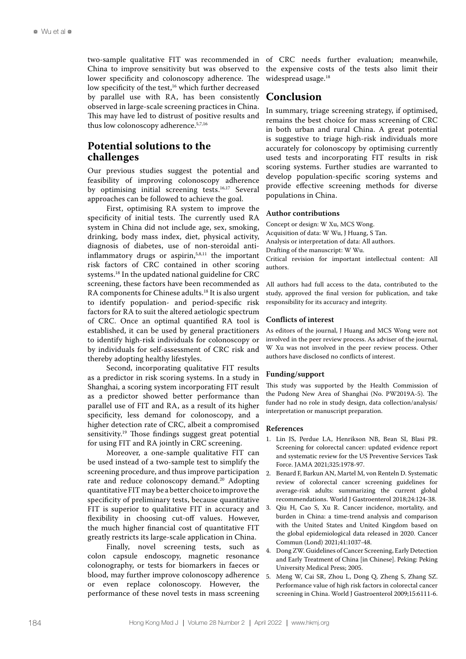two-sample qualitative FIT was recommended in China to improve sensitivity but was observed to lower specificity and colonoscopy adherence. The low specificity of the test,<sup>16</sup> which further decreased by parallel use with RA, has been consistently observed in large-scale screening practices in China. This may have led to distrust of positive results and thus low colonoscopy adherence.5,7,16

## **Potential solutions to the challenges**

Our previous studies suggest the potential and feasibility of improving colonoscopy adherence by optimising initial screening tests.16,17 Several approaches can be followed to achieve the goal.

First, optimising RA system to improve the specificity of initial tests. The currently used RA system in China did not include age, sex, smoking, drinking, body mass index, diet, physical activity, diagnosis of diabetes, use of non-steroidal antiinflammatory drugs or aspirin,<sup>5,8,11</sup> the important risk factors of CRC contained in other scoring systems.18 In the updated national guideline for CRC screening, these factors have been recommended as RA components for Chinese adults.<sup>18</sup> It is also urgent to identify population- and period-specific risk factors for RA to suit the altered aetiologic spectrum of CRC. Once an optimal quantified RA tool is established, it can be used by general practitioners to identify high-risk individuals for colonoscopy or by individuals for self-assessment of CRC risk and thereby adopting healthy lifestyles.

Second, incorporating qualitative FIT results as a predictor in risk scoring systems. In a study in Shanghai, a scoring system incorporating FIT result as a predictor showed better performance than parallel use of FIT and RA, as a result of its higher specificity, less demand for colonoscopy, and a higher detection rate of CRC, albeit a compromised sensitivity.19 Those findings suggest great potential for using FIT and RA jointly in CRC screening.

Moreover, a one-sample qualitative FIT can be used instead of a two-sample test to simplify the screening procedure, and thus improve participation rate and reduce colonoscopy demand.<sup>20</sup> Adopting quantitative FIT may be a better choice to improve the specificity of preliminary tests, because quantitative FIT is superior to qualitative FIT in accuracy and flexibility in choosing cut-off values. However, the much higher financial cost of quantitative FIT greatly restricts its large-scale application in China.

Finally, novel screening tests, such as colon capsule endoscopy, magnetic resonance colonography, or tests for biomarkers in faeces or blood, may further improve colonoscopy adherence or even replace colonoscopy. However, the performance of these novel tests in mass screening

of CRC needs further evaluation; meanwhile, the expensive costs of the tests also limit their widespread usage.<sup>18</sup>

## **Conclusion**

In summary, triage screening strategy, if optimised, remains the best choice for mass screening of CRC in both urban and rural China. A great potential is suggestive to triage high-risk individuals more accurately for colonoscopy by optimising currently used tests and incorporating FIT results in risk scoring systems. Further studies are warranted to develop population-specific scoring systems and provide effective screening methods for diverse populations in China.

#### **Author contributions**

Concept or design: W Xu, MCS Wong. Acquisition of data: W Wu, J Huang, S Tan. Analysis or interpretation of data: All authors. Drafting of the manuscript: W Wu. Critical revision for important intellectual content: All authors.

All authors had full access to the data, contributed to the study, approved the final version for publication, and take responsibility for its accuracy and integrity.

#### **Conflicts of interest**

As editors of the journal, J Huang and MCS Wong were not involved in the peer review process. As adviser of the journal, W Xu was not involved in the peer review process. Other authors have disclosed no conflicts of interest.

#### **Funding/support**

This study was supported by the Health Commission of the Pudong New Area of Shanghai (No. PW2019A-5). The funder had no role in study design, data collection/analysis/ interpretation or manuscript preparation.

#### **References**

- 1. Lin JS, Perdue LA, Henrikson NB, Bean SI, Blasi PR. Screening for colorectal cancer: updated evidence report and systematic review for the US Preventive Services Task Force. JAMA 2021;325:1978-97.
- 2. Benard F, Barkun AN, Martel M, von Renteln D. Systematic review of colorectal cancer screening guidelines for average-risk adults: summarizing the current global recommendations. World J Gastroenterol 2018;24:124-38.
- 3. Qiu H, Cao S, Xu R. Cancer incidence, mortality, and burden in China: a time-trend analysis and comparison with the United States and United Kingdom based on the global epidemiological data released in 2020. Cancer Commun (Lond) 2021;41:1037-48.
- 4. Dong ZW. Guidelines of Cancer Screening, Early Detection and Early Treatment of China [in Chinese]. Peking: Peking University Medical Press; 2005.
- 5. Meng W, Cai SR, Zhou L, Dong Q, Zheng S, Zhang SZ. Performance value of high risk factors in colorectal cancer screening in China. World J Gastroenterol 2009;15:6111-6.